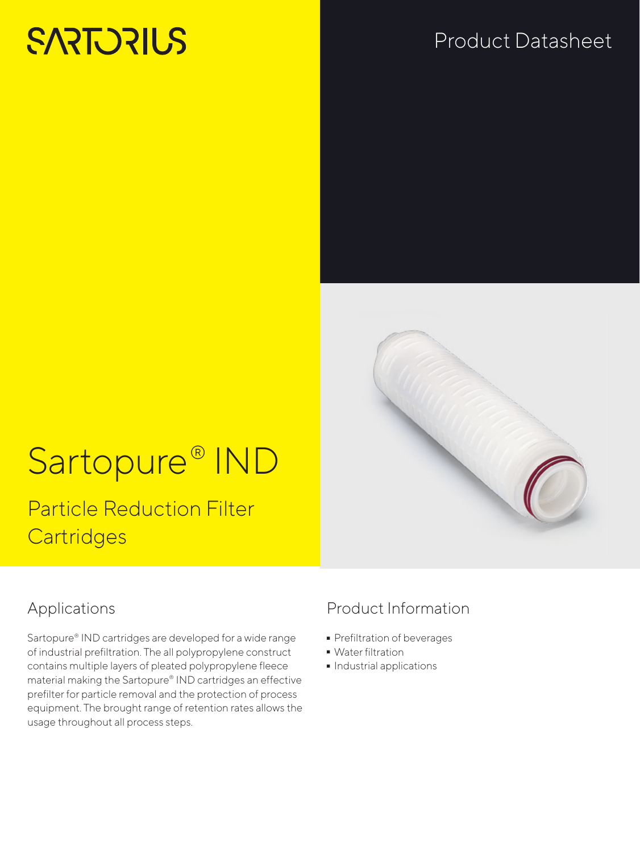# **SARTORIUS**

# Product Datasheet



# Sartopure® IND

Particle Reduction Filter **Cartridges** 

## Applications

Sartopure® IND cartridges are developed for a wide range of industrial prefiltration. The all polypropylene construct contains multiple layers of pleated polypropylene fleece material making the Sartopure® IND cartridges an effective prefilter for particle removal and the protection of process equipment. The brought range of retention rates allows the usage throughout all process steps.

## Product Information

- Prefiltration of beverages<br>• Water filtration
- 
- Water filtration<br>• Industrial appli  $\blacksquare$  Industrial applications<br>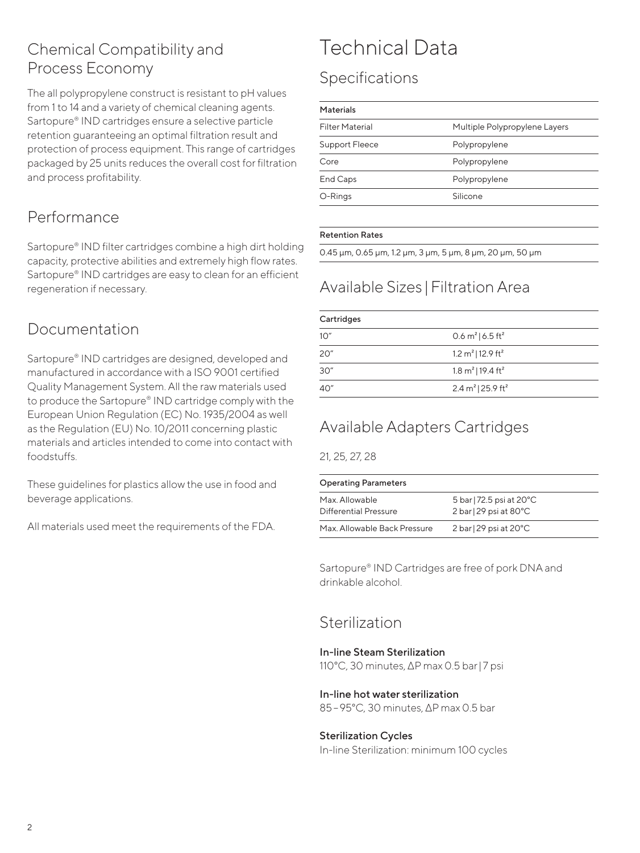#### Chemical Compatibility and Process Economy

The all polypropylene construct is resistant to pH values from 1 to 14 and a variety of chemical cleaning agents. Sartopure® IND cartridges ensure a selective particle retention guaranteeing an optimal filtration result and protection of process equipment. This range of cartridges packaged by 25 units reduces the overall cost for filtration and process profitability.

#### Performance

Sartopure® IND filter cartridges combine a high dirt holding capacity, protective abilities and extremely high flow rates. Sartopure® IND cartridges are easy to clean for an efficient regeneration if necessary.

### Documentation

Sartopure® IND cartridges are designed, developed and manufactured in accordance with a ISO 9001 certified Quality Management System. All the raw materials used to produce the Sartopure® IND cartridge comply with the European Union Regulation (EC) No. 1935/2004 as well as the Regulation (EU) No. 10/2011 concerning plastic materials and articles intended to come into contact with foodstuffs.

These guidelines for plastics allow the use in food and beverage applications.

All materials used meet the requirements of the FDA.

## Technical Data

## Specifications

#### Materials

| <b>Filter Material</b> | Multiple Polypropylene Layers |
|------------------------|-------------------------------|
| Support Fleece         | Polypropylene                 |
| Core                   | Polypropylene                 |
| End Caps               | Polypropylene                 |
| O-Rings                | Silicone                      |
|                        |                               |

#### Retention Rates

0.45 µm, 0.65 μm, 1.2 μm, 3 μm, 5 μm, 8 μm, 20 μm, 50 μm

## Available Sizes |Filtration Area

| Cartridges |                                           |  |  |
|------------|-------------------------------------------|--|--|
| 10"        | 0.6 $m^2$   6.5 ft <sup>2</sup>           |  |  |
| 20"        | 1.2 m <sup>2</sup>   12.9 ft <sup>2</sup> |  |  |
| 30"        | 1.8 m <sup>2</sup>   19.4 ft <sup>2</sup> |  |  |
| 40"        | 2.4 m <sup>2</sup>   25.9 ft <sup>2</sup> |  |  |

## Available Adapters Cartridges

21, 25, 27, 28

| <b>Operating Parameters</b>             |                                                                       |  |  |  |
|-----------------------------------------|-----------------------------------------------------------------------|--|--|--|
| Max. Allowable<br>Differential Pressure | 5 bar   72.5 psi at 20°C<br>$2 \text{ bar}$ 29 psi at 80 $^{\circ}$ C |  |  |  |
| Max Allowable Back Pressure             | $2 \text{ bar}$ 29 psi at 20 $^{\circ}$ C                             |  |  |  |

Sartopure® IND Cartridges are free of pork DNA and drinkable alcohol.

#### Sterilization

#### In-line Steam Sterilization

110°C, 30 minutes, ΔP max 0.5 bar| 7 psi

#### In-line hot water sterilization

85–95°C, 30 minutes, ΔP max 0.5 bar

#### Sterilization Cycles

In-line Sterilization: minimum 100 cycles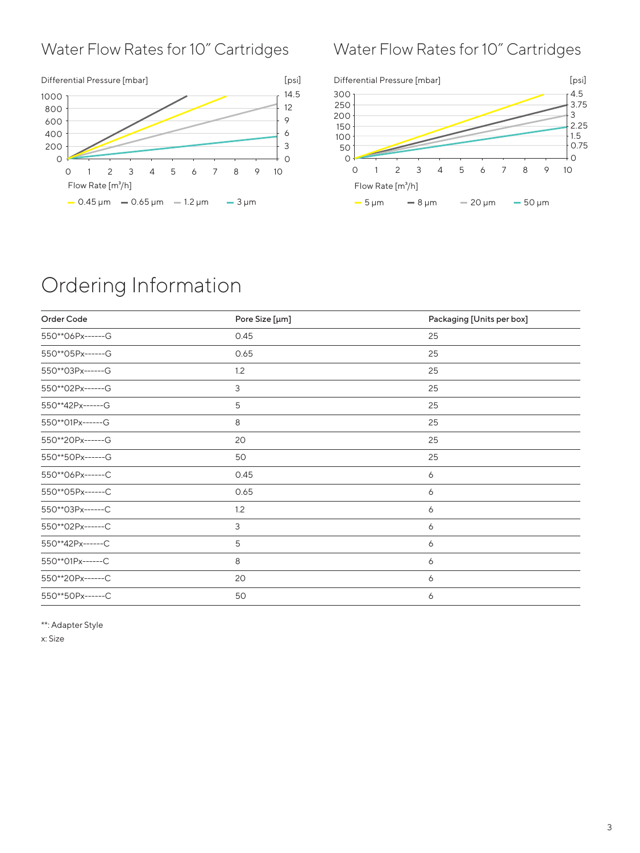#### Water Flow Rates for 10" Cartridges



## Water Flow Rates for 10" Cartridges



## Ordering Information

| Order Code       | Pore Size [µm] | Packaging [Units per box] |
|------------------|----------------|---------------------------|
| 550**06Px------G | 0.45           | 25                        |
| 550**05Px------G | 0.65           | 25                        |
| 550**03Px------G | 1.2            | 25                        |
| 550**02Px------G | 3              | 25                        |
| 550**42Px------G | 5              | 25                        |
| 550**01Px------G | 8              | 25                        |
| 550**20Px------G | 20             | 25                        |
| 550**50Px------G | 50             | 25                        |
| 550**06Px------C | 0.45           | 6                         |
| 550**05Px------C | 0.65           | 6                         |
| 550**03Px------C | 1.2            | 6                         |
| 550**02Px------C | 3              | 6                         |
| 550**42Px------C | 5              | 6                         |
| 550**01Px------C | 8              | 6                         |
| 550**20Px------C | 20             | 6                         |
| 550**50Px------C | 50             | 6                         |

\*\*: Adapter Style

x: Size